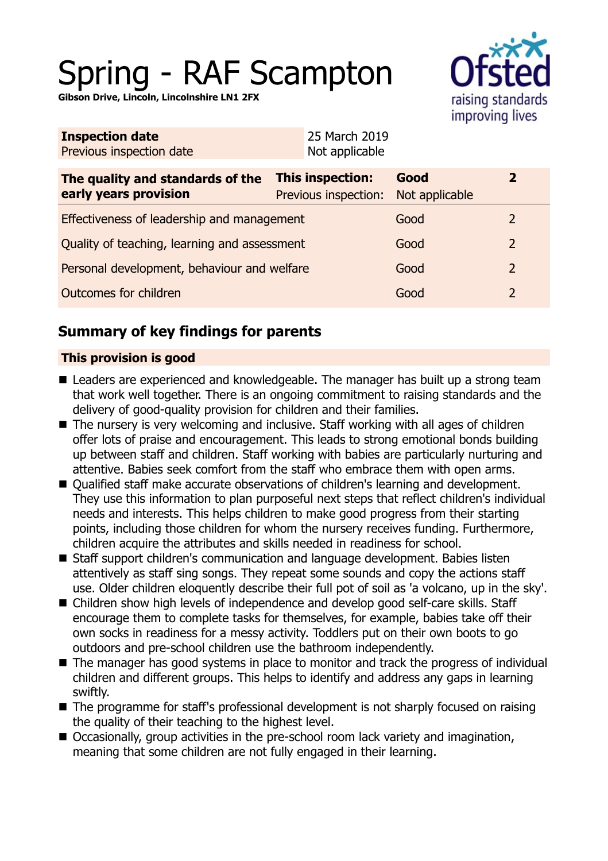# Spring - RAF Scampton

**Gibson Drive, Lincoln, Lincolnshire LN1 2FX**



| <b>Inspection date</b>   | 25 March 2019  |
|--------------------------|----------------|
| Previous inspection date | Not applicable |
|                          |                |

| The quality and standards of the<br>early years provision | <b>This inspection:</b><br>Previous inspection: | Good<br>Not applicable |               |
|-----------------------------------------------------------|-------------------------------------------------|------------------------|---------------|
| Effectiveness of leadership and management                |                                                 | Good                   |               |
| Quality of teaching, learning and assessment              |                                                 | Good                   | $\mathcal{L}$ |
| Personal development, behaviour and welfare               |                                                 | Good                   | $\mathcal{L}$ |
| Outcomes for children                                     |                                                 | Good                   |               |

## **Summary of key findings for parents**

## **This provision is good**

- Leaders are experienced and knowledgeable. The manager has built up a strong team that work well together. There is an ongoing commitment to raising standards and the delivery of good-quality provision for children and their families.
- The nursery is very welcoming and inclusive. Staff working with all ages of children offer lots of praise and encouragement. This leads to strong emotional bonds building up between staff and children. Staff working with babies are particularly nurturing and attentive. Babies seek comfort from the staff who embrace them with open arms.
- Qualified staff make accurate observations of children's learning and development. They use this information to plan purposeful next steps that reflect children's individual needs and interests. This helps children to make good progress from their starting points, including those children for whom the nursery receives funding. Furthermore, children acquire the attributes and skills needed in readiness for school.
- Staff support children's communication and language development. Babies listen attentively as staff sing songs. They repeat some sounds and copy the actions staff use. Older children eloquently describe their full pot of soil as 'a volcano, up in the sky'.
- Children show high levels of independence and develop good self-care skills. Staff encourage them to complete tasks for themselves, for example, babies take off their own socks in readiness for a messy activity. Toddlers put on their own boots to go outdoors and pre-school children use the bathroom independently.
- The manager has good systems in place to monitor and track the progress of individual children and different groups. This helps to identify and address any gaps in learning swiftly.
- $\blacksquare$  The programme for staff's professional development is not sharply focused on raising the quality of their teaching to the highest level.
- Occasionally, group activities in the pre-school room lack variety and imagination, meaning that some children are not fully engaged in their learning.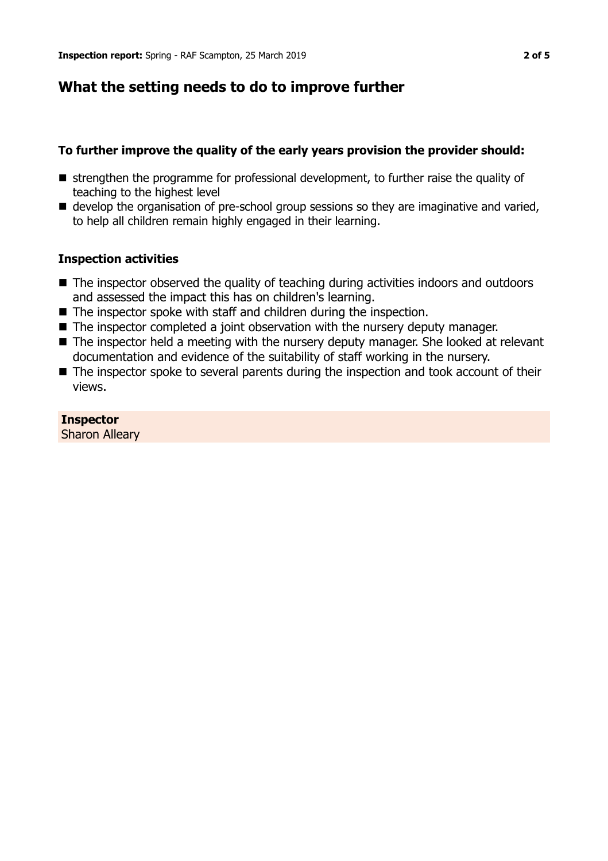## **What the setting needs to do to improve further**

## **To further improve the quality of the early years provision the provider should:**

- **E** strengthen the programme for professional development, to further raise the quality of teaching to the highest level
- $\blacksquare$  develop the organisation of pre-school group sessions so they are imaginative and varied, to help all children remain highly engaged in their learning.

## **Inspection activities**

- $\blacksquare$  The inspector observed the quality of teaching during activities indoors and outdoors and assessed the impact this has on children's learning.
- $\blacksquare$  The inspector spoke with staff and children during the inspection.
- $\blacksquare$  The inspector completed a joint observation with the nursery deputy manager.
- The inspector held a meeting with the nursery deputy manager. She looked at relevant documentation and evidence of the suitability of staff working in the nursery.
- $\blacksquare$  The inspector spoke to several parents during the inspection and took account of their views.

**Inspector** Sharon Alleary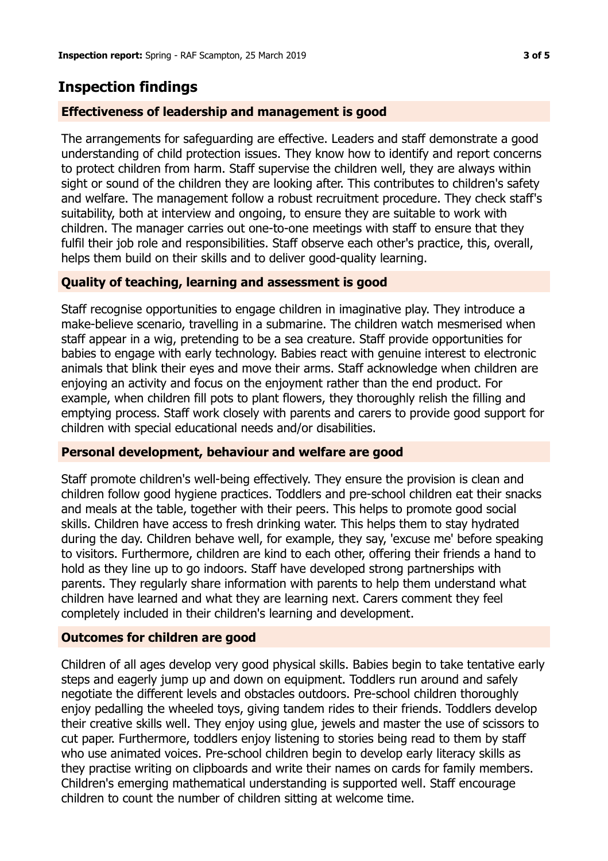## **Inspection findings**

## **Effectiveness of leadership and management is good**

The arrangements for safeguarding are effective. Leaders and staff demonstrate a good understanding of child protection issues. They know how to identify and report concerns to protect children from harm. Staff supervise the children well, they are always within sight or sound of the children they are looking after. This contributes to children's safety and welfare. The management follow a robust recruitment procedure. They check staff's suitability, both at interview and ongoing, to ensure they are suitable to work with children. The manager carries out one-to-one meetings with staff to ensure that they fulfil their job role and responsibilities. Staff observe each other's practice, this, overall, helps them build on their skills and to deliver good-quality learning.

## **Quality of teaching, learning and assessment is good**

Staff recognise opportunities to engage children in imaginative play. They introduce a make-believe scenario, travelling in a submarine. The children watch mesmerised when staff appear in a wig, pretending to be a sea creature. Staff provide opportunities for babies to engage with early technology. Babies react with genuine interest to electronic animals that blink their eyes and move their arms. Staff acknowledge when children are enjoying an activity and focus on the enjoyment rather than the end product. For example, when children fill pots to plant flowers, they thoroughly relish the filling and emptying process. Staff work closely with parents and carers to provide good support for children with special educational needs and/or disabilities.

#### **Personal development, behaviour and welfare are good**

Staff promote children's well-being effectively. They ensure the provision is clean and children follow good hygiene practices. Toddlers and pre-school children eat their snacks and meals at the table, together with their peers. This helps to promote good social skills. Children have access to fresh drinking water. This helps them to stay hydrated during the day. Children behave well, for example, they say, 'excuse me' before speaking to visitors. Furthermore, children are kind to each other, offering their friends a hand to hold as they line up to go indoors. Staff have developed strong partnerships with parents. They regularly share information with parents to help them understand what children have learned and what they are learning next. Carers comment they feel completely included in their children's learning and development.

#### **Outcomes for children are good**

Children of all ages develop very good physical skills. Babies begin to take tentative early steps and eagerly jump up and down on equipment. Toddlers run around and safely negotiate the different levels and obstacles outdoors. Pre-school children thoroughly enjoy pedalling the wheeled toys, giving tandem rides to their friends. Toddlers develop their creative skills well. They enjoy using glue, jewels and master the use of scissors to cut paper. Furthermore, toddlers enjoy listening to stories being read to them by staff who use animated voices. Pre-school children begin to develop early literacy skills as they practise writing on clipboards and write their names on cards for family members. Children's emerging mathematical understanding is supported well. Staff encourage children to count the number of children sitting at welcome time.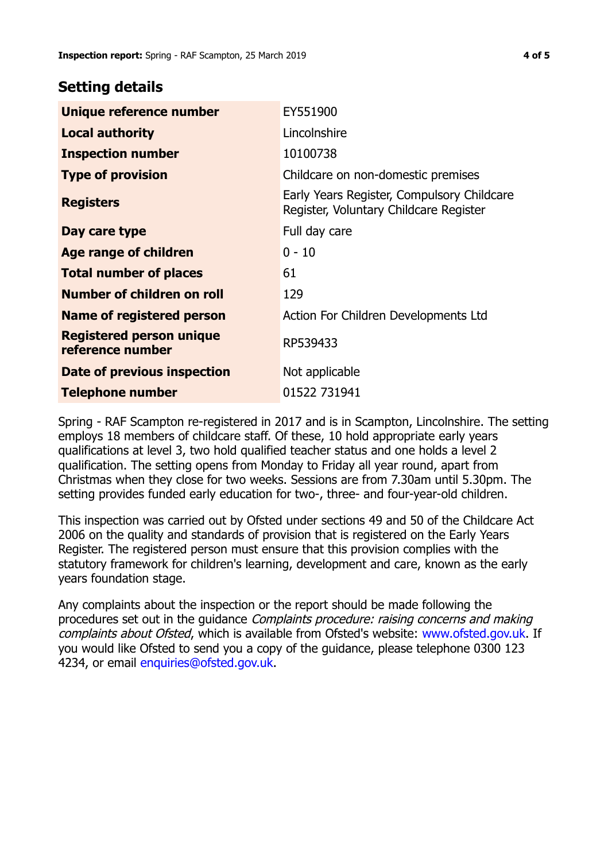## **Setting details**

| Unique reference number                             | EY551900                                                                             |
|-----------------------------------------------------|--------------------------------------------------------------------------------------|
| <b>Local authority</b>                              | Lincolnshire                                                                         |
| <b>Inspection number</b>                            | 10100738                                                                             |
| <b>Type of provision</b>                            | Childcare on non-domestic premises                                                   |
| <b>Registers</b>                                    | Early Years Register, Compulsory Childcare<br>Register, Voluntary Childcare Register |
| Day care type                                       | Full day care                                                                        |
| Age range of children                               | $0 - 10$                                                                             |
| <b>Total number of places</b>                       | 61                                                                                   |
| Number of children on roll                          | 129                                                                                  |
| <b>Name of registered person</b>                    | Action For Children Developments Ltd                                                 |
| <b>Registered person unique</b><br>reference number | RP539433                                                                             |
| Date of previous inspection                         | Not applicable                                                                       |
| <b>Telephone number</b>                             | 01522 731941                                                                         |

Spring - RAF Scampton re-registered in 2017 and is in Scampton, Lincolnshire. The setting employs 18 members of childcare staff. Of these, 10 hold appropriate early years qualifications at level 3, two hold qualified teacher status and one holds a level 2 qualification. The setting opens from Monday to Friday all year round, apart from Christmas when they close for two weeks. Sessions are from 7.30am until 5.30pm. The setting provides funded early education for two-, three- and four-year-old children.

This inspection was carried out by Ofsted under sections 49 and 50 of the Childcare Act 2006 on the quality and standards of provision that is registered on the Early Years Register. The registered person must ensure that this provision complies with the statutory framework for children's learning, development and care, known as the early years foundation stage.

Any complaints about the inspection or the report should be made following the procedures set out in the guidance Complaints procedure: raising concerns and making complaints about Ofsted, which is available from Ofsted's website: www.ofsted.gov.uk. If you would like Ofsted to send you a copy of the guidance, please telephone 0300 123 4234, or email [enquiries@ofsted.gov.uk.](mailto:enquiries@ofsted.gov.uk)